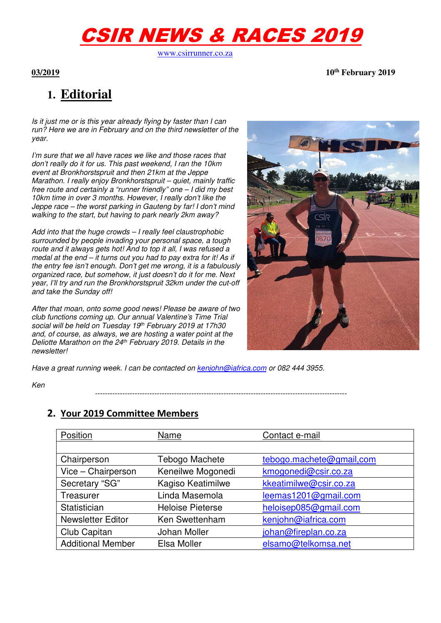# CSIR NEWS & RACES 2019

www.csirrunner.co.za

**03/2019 10th February 2019** 

## **1. Editorial**

Is it just me or is this year already flying by faster than I can run? Here we are in February and on the third newsletter of the year.

I'm sure that we all have races we like and those races that don't really do it for us. This past weekend, I ran the 10km event at Bronkhorstspruit and then 21km at the Jeppe Marathon. I really enjoy Bronkhorstspruit – quiet, mainly traffic free route and certainly a "runner friendly" one – I did my best 10km time in over 3 months. However, I really don't like the Jeppe race – the worst parking in Gauteng by far! I don't mind walking to the start, but having to park nearly 2km away?

Add into that the huge crowds – I really feel claustrophobic surrounded by people invading your personal space, a tough route and it always gets hot! And to top it all, I was refused a medal at the end – it turns out you had to pay extra for it! As if the entry fee isn't enough. Don't get me wrong, it is a fabulously organized race, but somehow, it just doesn't do it for me. Next year, I'll try and run the Bronkhorstspruit 32km under the cut-off and take the Sunday off!

After that moan, onto some good news! Please be aware of two club functions coming up. Our annual Valentine's Time Trial social will be held on Tuesday 19th February 2019 at 17h30 and, of course, as always, we are hosting a water point at the Deliotte Marathon on the 24<sup>th</sup> February 2019. Details in the newsletter!



Have a great running week. I can be contacted on kenjohn@iafrica.com or 082 444 3955.

Ken

------------------------------------------------------------------------------------------------------

#### **2. Your 2019 Committee Members**

| Position                 | Name                    | Contact e-mail           |
|--------------------------|-------------------------|--------------------------|
|                          |                         |                          |
| Chairperson              | Tebogo Machete          | tebogo.machete@gmail.com |
| Vice - Chairperson       | Keneilwe Mogonedi       | kmogonedi@csir.co.za     |
| Secretary "SG"           | Kagiso Keatimilwe       | kkeatimilwe@csir.co.za   |
| Treasurer                | Linda Masemola          | leemas1201@gmail.com     |
| Statistician             | <b>Heloise Pieterse</b> | heloisep085@gmail.com    |
| <b>Newsletter Editor</b> | Ken Swettenham          | kenjohn@iafrica.com      |
| Club Capitan             | Johan Moller            | johan@fireplan.co.za     |
| <b>Additional Member</b> | Elsa Moller             | elsamo@telkomsa.net      |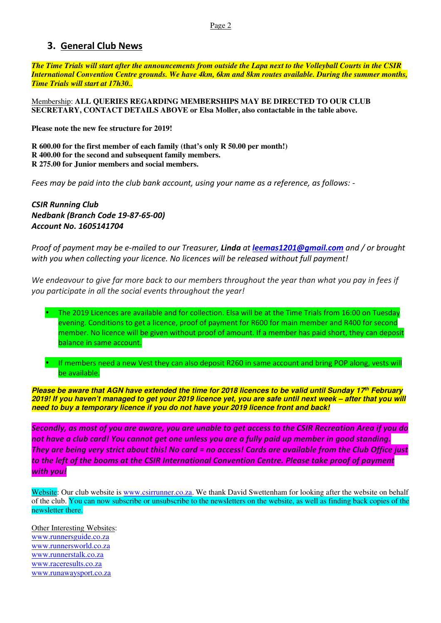#### **3. General Club News**

*The Time Trials will start after the announcements from outside the Lapa next to the Volleyball Courts in the CSIR International Convention Centre grounds. We have 4km, 6km and 8km routes available. During the summer months, Time Trials will start at 17h30..*

Membership: **ALL QUERIES REGARDING MEMBERSHIPS MAY BE DIRECTED TO OUR CLUB SECRETARY, CONTACT DETAILS ABOVE or Elsa Moller, also contactable in the table above.** 

**Please note the new fee structure for 2019!** 

**R 600.00 for the first member of each family (that's only R 50.00 per month!) R 400.00 for the second and subsequent family members. R 275.00 for Junior members and social members.** 

*Fees may be paid into the club bank account, using your name as a reference, as follows: -* 

*CSIR Running Club Nedbank (Branch Code 19-87-65-00) Account No. 1605141704* 

*Proof of payment may be e-mailed to our Treasurer, Linda at leemas1201@gmail.com and / or brought with you when collecting your licence. No licences will be released without full payment!* 

*We endeavour to give far more back to our members throughout the year than what you pay in fees if you participate in all the social events throughout the year!* 



• If members need a new Vest they can also deposit R260 in same account and bring POP along, vests will be available.

**Please be aware that AGN have extended the time for 2018 licences to be valid until Sunday 17th February 2019! If you haven't managed to get your 2019 licence yet, you are safe until next week – after that you will need to buy a temporary licence if you do not have your 2019 licence front and back!** 

*Secondly, as most of you are aware, you are unable to get access to the CSIR Recreation Area if you do not have a club card! You cannot get one unless you are a fully paid up member in good standing. They are being very strict about this! No card = no access! Cards are available from the Club Office just to the left of the booms at the CSIR International Convention Centre. Please take proof of payment with you!* 

Website: Our club website is www.csirrunner.co.za. We thank David Swettenham for looking after the website on behalf of the club. You can now subscribe or unsubscribe to the newsletters on the website, as well as finding back copies of the newsletter there.

Other Interesting Websites: www.runnersguide.co.za www.runnersworld.co.za www.runnerstalk.co.za www.raceresults.co.za www.runawaysport.co.za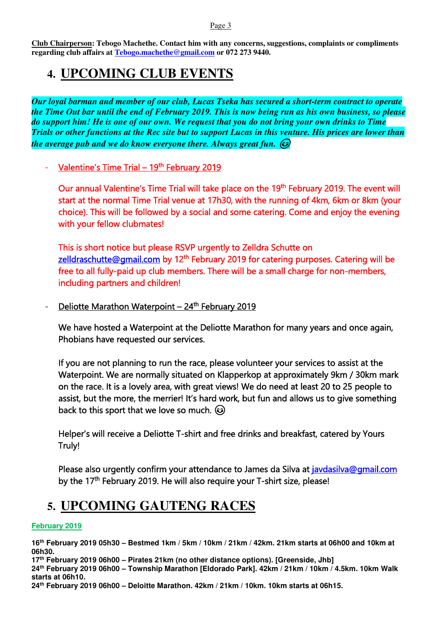Page 3

**Club Chairperson: Tebogo Machethe. Contact him with any concerns, suggestions, complaints or compliments regarding club affairs at Tebogo.machethe@gmail.com or 072 273 9440.** 

### **4. UPCOMING CLUB EVENTS**

*Our loyal barman and member of our club, Lucas Tseka has secured a short-term contract to operate the Time Out bar until the end of February 2019. This is now being run as his own business, so please do support him! He is one of our own. We request that you do not bring your own drinks to Time Trials or other functions at the Rec site but to support Lucas in this venture. His prices are lower than the average pub and we do know everyone there. Always great fun.* 

- Valentine's Time Trial – 19<sup>th</sup> February 2019

Our annual Valentine's Time Trial will take place on the 19<sup>th</sup> February 2019. The event will start at the normal Time Trial venue at 17h30, with the running of 4km, 6km or 8km (your choice). This will be followed by a social and some catering. Come and enjoy the evening with your fellow clubmates!

This is short notice but please RSVP urgently to Zelldra Schutte on zelldraschutte@gmail.com by 12<sup>th</sup> February 2019 for catering purposes. Catering will be free to all fully-paid up club members. There will be a small charge for non-members, including partners and children!

- Deliotte Marathon Waterpoint - 24<sup>th</sup> February 2019

We have hosted a Waterpoint at the Deliotte Marathon for many years and once again, Phobians have requested our services.

If you are not planning to run the race, please volunteer your services to assist at the Waterpoint. We are normally situated on Klapperkop at approximately 9km / 30km mark on the race. It is a lovely area, with great views! We do need at least 20 to 25 people to assist, but the more, the merrier! It's hard work, but fun and allows us to give something back to this sport that we love so much.  $\odot$ 

Helper's will receive a Deliotte T-shirt and free drinks and breakfast, catered by Yours Truly!

Please also urgently confirm your attendance to James da Silva at javdasilva@gmail.com by the 17<sup>th</sup> February 2019. He will also require your T-shirt size, please!

### **5. UPCOMING GAUTENG RACES**

#### **February 2019**

**16th February 2019 05h30 – Bestmed 1km / 5km / 10km / 21km / 42km. 21km starts at 06h00 and 10km at 06h30.** 

**17th February 2019 06h00 – Pirates 21km (no other distance options). [Greenside, Jhb]** 

**24th February 2019 06h00 – Township Marathon [Eldorado Park]. 42km / 21km / 10km / 4.5km. 10km Walk starts at 06h10.** 

**24th February 2019 06h00 – Deloitte Marathon. 42km / 21km / 10km. 10km starts at 06h15.**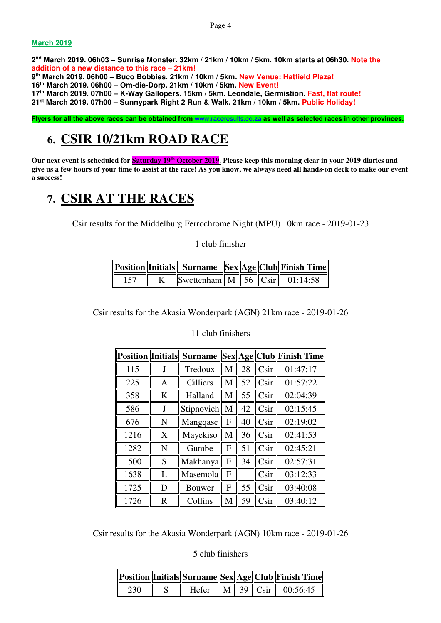#### **March 2019**

 **nd March 2019. 06h03 – Sunrise Monster. 32km / 21km / 10km / 5km. 10km starts at 06h30. Note the addition of a new distance to this race – 21km! th March 2019. 06h00 – Buco Bobbies. 21km / 10km / 5km. New Venue: Hatfield Plaza! th March 2019. 06h00 – Om-die-Dorp. 21km / 10km / 5km. New Event! th March 2019. 07h00 – K-Way Gallopers. 15km / 5km. Leondale, Germistion. Fast, flat route! st March 2019. 07h00 – Sunnypark Right 2 Run & Walk. 21km / 10km / 5km. Public Holiday!** 

**Flyers for all the above races can be obtained from** www.raceresults.co.za **as well as selected races in other provinces.** 

### **6. CSIR 10/21km ROAD RACE**

**Our next event is scheduled for Saturday 19th October 2019. Please keep this morning clear in your 2019 diaries and give us a few hours of your time to assist at the race! As you know, we always need all hands-on deck to make our event a success!** 

### **7. CSIR AT THE RACES**

Csir results for the Middelburg Ferrochrome Night (MPU) 10km race - 2019-01-23

1 club finisher

|  |                                                                                              |  | Position  Initials   Surname   Sex  Age  Club  Finish Time |
|--|----------------------------------------------------------------------------------------------|--|------------------------------------------------------------|
|  | $\sqrt{\text{Swettenham}\right \right }$ M $\sqrt{\text{S6}}$ $\text{Csir}\right \$ 01:14:58 |  |                                                            |

Csir results for the Akasia Wonderpark (AGN) 21km race - 2019-01-26

|      |             | <b>Position Initials Surname</b> |   |    |                 | Sex  Age  Club  Finish Time |
|------|-------------|----------------------------------|---|----|-----------------|-----------------------------|
| 115  | J           | Tredoux                          | M | 28 | Csir            | 01:47:17                    |
| 225  | Α           | <b>Cilliers</b>                  | M | 52 | Csir            | 01:57:22                    |
| 358  | K           | Halland                          | M | 55 | Csir            | 02:04:39                    |
| 586  | J           | Stipnovich                       | M | 42 | C <sub>Si</sub> | 02:15:45                    |
| 676  | N           | Mangqase                         | F | 40 | C <sub>Si</sub> | 02:19:02                    |
| 1216 | X           | Mayekiso                         | M | 36 | C <sub>Si</sub> | 02:41:53                    |
| 1282 | N           | Gumbe                            | F | 51 | Csir            | 02:45:21                    |
| 1500 | S           | Makhanya                         | F | 34 | C <sub>Si</sub> | 02:57:31                    |
| 1638 | L           | Masemola                         | F |    | Csir            | 03:12:33                    |
| 1725 | D           | Bouwer                           | F | 55 | Csir            | 03:40:08                    |
| 1726 | $\mathbf R$ | Collins                          | M | 59 | Csir            | 03:40:12                    |

11 club finishers

Csir results for the Akasia Wonderpark (AGN) 10km race - 2019-01-26

5 club finishers

|     |  |  | Position  Initials  Surname  Sex  Age  Club  Finish Time |
|-----|--|--|----------------------------------------------------------|
| 230 |  |  | Hefer $\ M\ $ 39 $\ C\sin\ $ 00:56:45                    |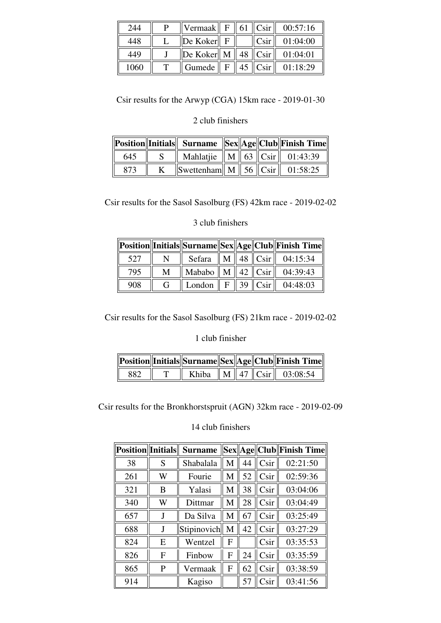| 244  | Vermaak                                     | $\mathbf{F}$ . | 61   $C\sin$ | 00:57:16 |
|------|---------------------------------------------|----------------|--------------|----------|
| 448  | $\ $ De Koker $\ $ F                        |                | Csir         | 01:04:00 |
| 449  | $\ $ De Koker $\ $ M $\ $ 48 $\ $ Csir $\ $ |                |              | 01:04:01 |
| 1060 | Gumede                                      | $\mathbf{F}$   | $45$ Csir    | 01:18:29 |

Csir results for the Arwyp (CGA) 15km race - 2019-01-30

#### 2 club finishers

|     |                                                        |  | Position  Initials   Surname   Sex  Age  Club  Finish Time |
|-----|--------------------------------------------------------|--|------------------------------------------------------------|
| 645 | Mahlatjie    M    63    Csir    01:43:39               |  |                                                            |
|     | $\ $ Swettenham $\ $ M $\ $ 56 $\ $ Csir $\ $ 01:58:25 |  |                                                            |

Csir results for the Sasol Sasolburg (FS) 42km race - 2019-02-02

#### 3 club finishers

|     |              |                                    |  | Position  Initials  Surname  Sex  Age  Club  Finish Time |
|-----|--------------|------------------------------------|--|----------------------------------------------------------|
| 527 | N            |                                    |  | Sefara $  $ M $  $ 48 $  $ Csir $  $ 04:15:34            |
| 795 | M            | Mababo    M    42 $\ $ Csir $\ $   |  | 04:39:43                                                 |
| 908 | $\mathsf{G}$ | London $\  F \ $ 39 $\ $ Csir $\ $ |  | 04:48:03                                                 |

Csir results for the Sasol Sasolburg (FS) 21km race - 2019-02-02

#### 1 club finisher

|      |  |  | Position  Initials  Surname  Sex  Age  Club  Finish Time |
|------|--|--|----------------------------------------------------------|
| 882. |  |  | Khiba $\ M\ $ 47 $\ C\sin\ $ 03:08:54                    |

Csir results for the Bronkhorstspruit (AGN) 32km race - 2019-02-09

#### 14 club finishers

| <b>Position</b>   Initials |   | <b>Surname</b> |   |    |      | Sex  Age  Club  Finish Time |
|----------------------------|---|----------------|---|----|------|-----------------------------|
| 38                         | S | Shabalala      | M | 44 | Csir | 02:21:50                    |
| 261                        | W | Fourie         | M | 52 | Csir | 02:59:36                    |
| 321                        | B | Yalasi         | M | 38 | Csir | 03:04:06                    |
| 340                        | W | Dittmar        | M | 28 | Csir | 03:04:49                    |
| 657                        |   | Da Silva       | M | 67 | Csir | 03:25:49                    |
| 688                        |   | Stipinovich    | M | 42 | Csir | 03:27:29                    |
| 824                        | E | Wentzel        | F |    | Csir | 03:35:53                    |
| 826                        | F | Finbow         | F | 24 | Csir | 03:35:59                    |
| 865                        | P | Vermaak        | F | 62 | Csir | 03:38:59                    |
| 914                        |   | Kagiso         |   | 57 | Csir | 03:41:56                    |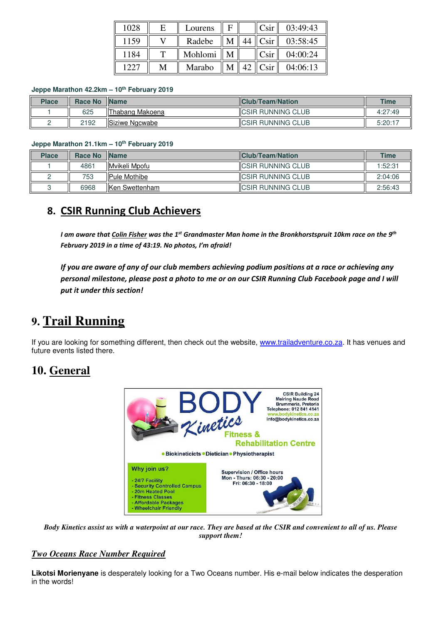| 1028 | F | Lourens |  | Csir | 03:49:43 |
|------|---|---------|--|------|----------|
| 1159 |   | Radebe  |  | Csir | 03:58:45 |
| 1184 |   | Mohlomi |  | Csir | 04:00:24 |
| 1227 | M | Marabo  |  | Csir | 04:06:13 |

#### **Jeppe Marathon 42.2km – 10th February 2019**

| <b>Place</b> | <b>Race No</b> | <b>Name</b>       | <b>IClub/Team/Nation</b>  | <b>Time</b> |
|--------------|----------------|-------------------|---------------------------|-------------|
|              | 625            | IlThabang Makoena | <b>ICSIR RUNNING CLUB</b> | 4:27:49     |
|              | 2192           | Siziwe Ngcwabe    | <b>ICSIR RUNNING CLUB</b> | 5:20:17     |

#### **Jeppe Marathon 21.1km – 10th February 2019**

| <b>Place</b> | Race No | <b>Name</b>            | <b>IClub/Team/Nation</b>  | <b>Time</b> |
|--------------|---------|------------------------|---------------------------|-------------|
|              | 4861    | <b>IMvikeli Mpofu</b>  | <b>ICSIR RUNNING CLUB</b> | 1:52:31     |
|              | 753     | <b>IPule Mothibe</b>   | <b>ICSIR RUNNING CLUB</b> | 2:04:06     |
|              | 6968    | <b>IKen Swettenham</b> | <b>ICSIR RUNNING CLUB</b> | 2:56:43     |

### **8. CSIR Running Club Achievers**

*I am aware that Colin Fisher was the 1st Grandmaster Man home in the Bronkhorstspruit 10km race on the 9th February 2019 in a time of 43:19. No photos, I'm afraid!* 

*If you are aware of any of our club members achieving podium positions at a race or achieving any personal milestone, please post a photo to me or on our CSIR Running Club Facebook page and I will put it under this section!*

### **9. Trail Running**

If you are looking for something different, then check out the website, www.trailadventure.co.za. It has venues and future events listed there.

### **10. General**



*Body Kinetics assist us with a waterpoint at our race. They are based at the CSIR and convenient to all of us. Please support them!* 

#### *Two Oceans Race Number Required*

**Likotsi Morienyane** is desperately looking for a Two Oceans number. His e-mail below indicates the desperation in the words!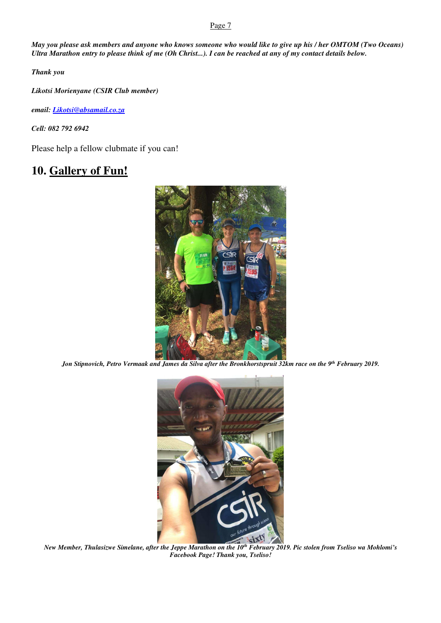#### Page 7

*May you please ask members and anyone who knows someone who would like to give up his / her OMTOM (Two Oceans) Ultra Marathon entry to please think of me (Oh Christ...). I can be reached at any of my contact details below.*

*Thank you* 

*Likotsi Morienyane (CSIR Club member)* 

*email: Likotsi@absamail.co.za*

*Cell: 082 792 6942* 

Please help a fellow clubmate if you can!

### **10. Gallery of Fun!**



*Jon Stipnovich, Petro Vermaak and James da Silva after the Bronkhorstspruit 32km race on the 9th February 2019.* 



*New Member, Thulasizwe Simelane, after the Jeppe Marathon on the 10th February 2019. Pic stolen from Tseliso wa Mohlomi's Facebook Page! Thank you, Tseliso!*